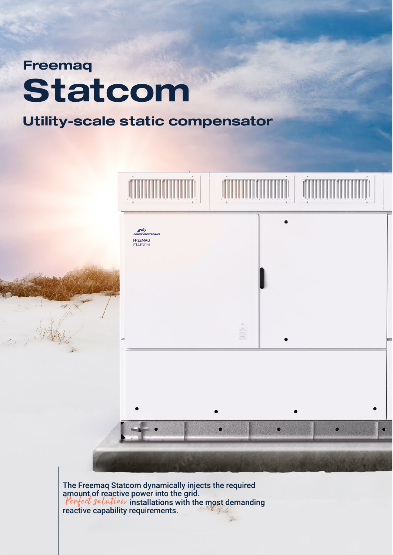## **Freemaq Statcom**

## **Utility-scale static compensator**



The Freemaq Statcom dynamically injects the required<br>amount of reactive power into the grid. Perfect solution installations with the most demanding reactive capability requirements.